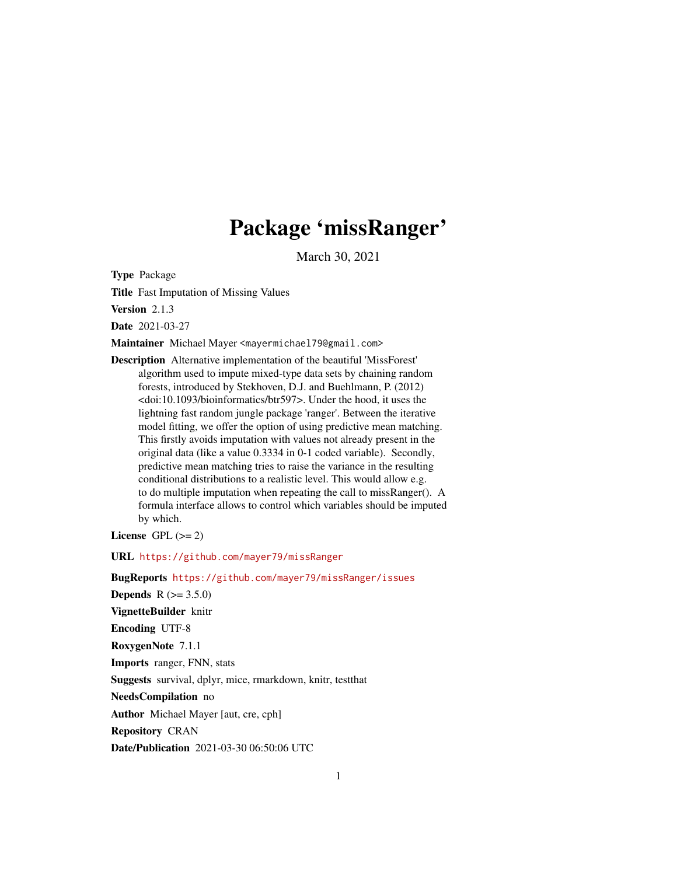## Package 'missRanger'

March 30, 2021

Type Package

Title Fast Imputation of Missing Values

Version 2.1.3

Date 2021-03-27

Maintainer Michael Mayer <mayermichael79@gmail.com>

Description Alternative implementation of the beautiful 'MissForest' algorithm used to impute mixed-type data sets by chaining random forests, introduced by Stekhoven, D.J. and Buehlmann, P. (2012) <doi:10.1093/bioinformatics/btr597>. Under the hood, it uses the lightning fast random jungle package 'ranger'. Between the iterative model fitting, we offer the option of using predictive mean matching. This firstly avoids imputation with values not already present in the original data (like a value 0.3334 in 0-1 coded variable). Secondly, predictive mean matching tries to raise the variance in the resulting conditional distributions to a realistic level. This would allow e.g. to do multiple imputation when repeating the call to missRanger(). A formula interface allows to control which variables should be imputed by which.

License GPL  $(>= 2)$ 

URL <https://github.com/mayer79/missRanger>

BugReports <https://github.com/mayer79/missRanger/issues>

**Depends** R  $(>= 3.5.0)$ 

VignetteBuilder knitr

Encoding UTF-8

RoxygenNote 7.1.1

Imports ranger, FNN, stats

Suggests survival, dplyr, mice, rmarkdown, knitr, testthat

NeedsCompilation no

Author Michael Mayer [aut, cre, cph]

Repository CRAN

Date/Publication 2021-03-30 06:50:06 UTC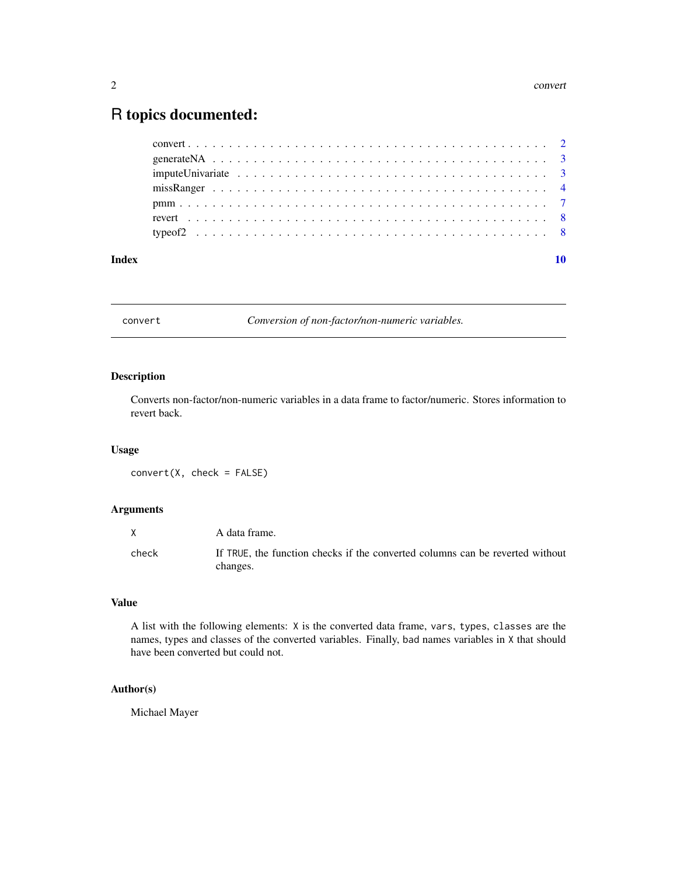#### <span id="page-1-0"></span>2 convert

### R topics documented:

| Index |  |
|-------|--|
|       |  |
|       |  |
|       |  |
|       |  |
|       |  |
|       |  |
|       |  |

convert *Conversion of non-factor/non-numeric variables.*

#### Description

Converts non-factor/non-numeric variables in a data frame to factor/numeric. Stores information to revert back.

#### Usage

convert(X, check = FALSE)

#### Arguments

|       | A data frame.                                                                             |
|-------|-------------------------------------------------------------------------------------------|
| check | If TRUE, the function checks if the converted columns can be reverted without<br>changes. |

#### Value

A list with the following elements: X is the converted data frame, vars, types, classes are the names, types and classes of the converted variables. Finally, bad names variables in X that should have been converted but could not.

#### Author(s)

Michael Mayer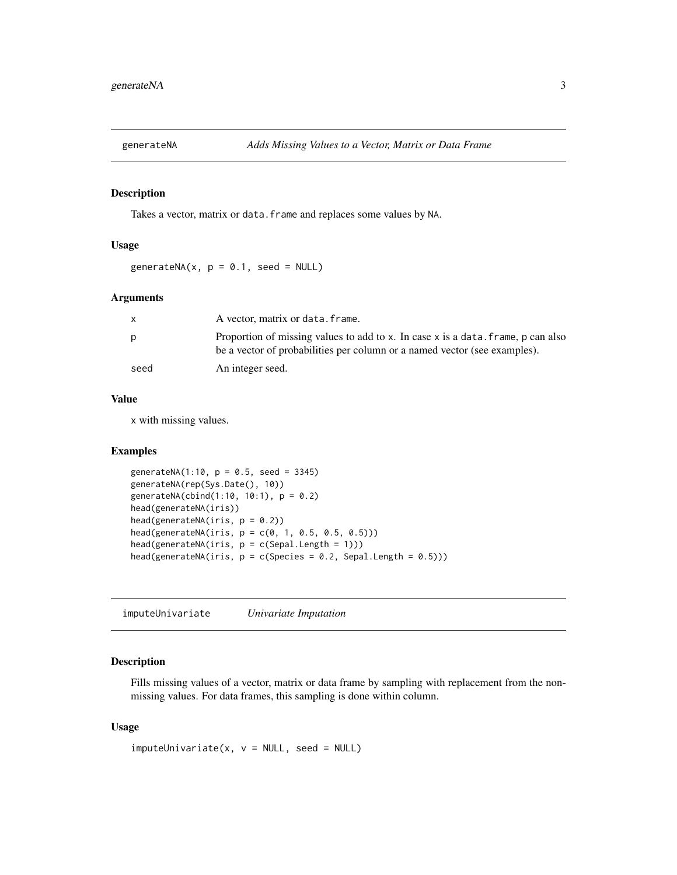<span id="page-2-0"></span>

#### Description

Takes a vector, matrix or data. frame and replaces some values by NA.

#### Usage

generateNA(x,  $p = 0.1$ , seed = NULL)

#### Arguments

| X    | A vector, matrix or data. frame.                                                                                                                              |
|------|---------------------------------------------------------------------------------------------------------------------------------------------------------------|
| р    | Proportion of missing values to add to x. In case x is a data, frame, p can also<br>be a vector of probabilities per column or a named vector (see examples). |
| seed | An integer seed.                                                                                                                                              |

#### Value

x with missing values.

#### Examples

```
generateNA(1:10, p = 0.5, seed = 3345)generateNA(rep(Sys.Date(), 10))
generateNA(cbind(1:10, 10:1), p = 0.2)
head(generateNA(iris))
head(generateNA(iris, p = 0.2))
head(generateNA(iris, p = c(0, 1, 0.5, 0.5, 0.5)))head(generateNA(iris, p = c(Sepal.length = 1)))head(generateNA(iris, p = c(Species = 0.2, Sepal.Length = 0.5)))
```
imputeUnivariate *Univariate Imputation*

#### Description

Fills missing values of a vector, matrix or data frame by sampling with replacement from the nonmissing values. For data frames, this sampling is done within column.

#### Usage

 $imputeUnitariate(x, v = NULL, seed = NULL)$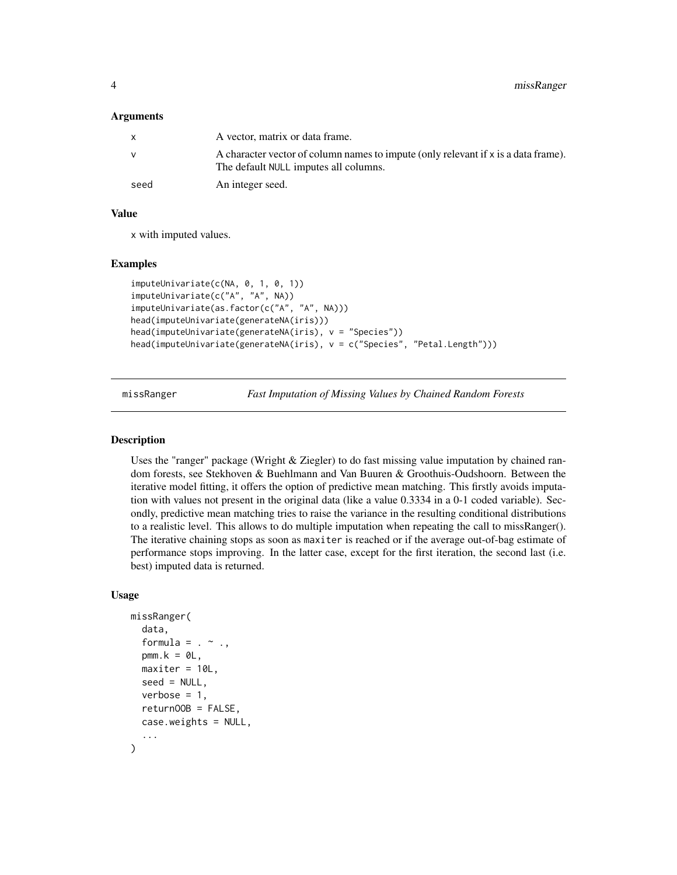#### <span id="page-3-0"></span>Arguments

|              | A vector, matrix or data frame.                                                                                             |
|--------------|-----------------------------------------------------------------------------------------------------------------------------|
| $\mathsf{V}$ | A character vector of column names to impute (only relevant if x is a data frame).<br>The default NULL imputes all columns. |
| seed         | An integer seed.                                                                                                            |

#### Value

x with imputed values.

#### Examples

```
imputeUnivariate(c(NA, 0, 1, 0, 1))
imputeUnivariate(c("A", "A", NA))
imputeUnivariate(as.factor(c("A", "A", NA)))
head(imputeUnivariate(generateNA(iris)))
head(imputeUnivariate(generateNA(iris), v = "Species"))
head(imputeUnivariate(generateNA(iris), v = c("Species", "Petal.Length")))
```
missRanger *Fast Imputation of Missing Values by Chained Random Forests*

#### Description

Uses the "ranger" package (Wright & Ziegler) to do fast missing value imputation by chained random forests, see Stekhoven & Buehlmann and Van Buuren & Groothuis-Oudshoorn. Between the iterative model fitting, it offers the option of predictive mean matching. This firstly avoids imputation with values not present in the original data (like a value 0.3334 in a 0-1 coded variable). Secondly, predictive mean matching tries to raise the variance in the resulting conditional distributions to a realistic level. This allows to do multiple imputation when repeating the call to missRanger(). The iterative chaining stops as soon as maxiter is reached or if the average out-of-bag estimate of performance stops improving. In the latter case, except for the first iteration, the second last (i.e. best) imputed data is returned.

#### Usage

```
missRanger(
  data,
  formula = . ~ ~ ~ \cdot ~pmm.k = 0L,maxiter = 10L,
  seed = NULL,
  verbose = 1,
  returnOOB = FALSE,
  case.weights = NULL,
  ...
)
```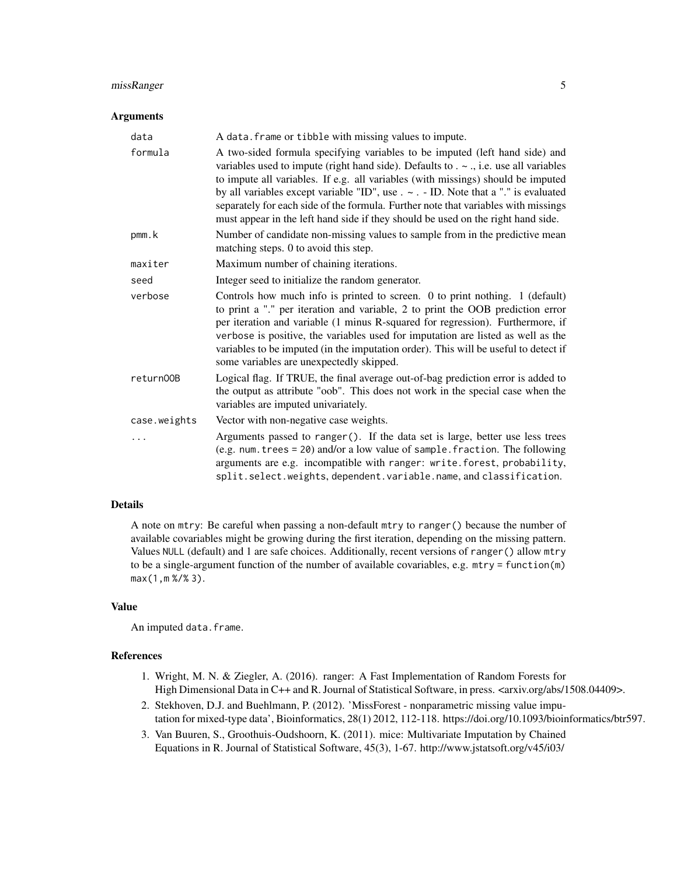#### missRanger 5

#### Arguments

| data         | A data. frame or tibble with missing values to impute.                                                                                                                                                                                                                                                                                                                                                                                                                                                                          |
|--------------|---------------------------------------------------------------------------------------------------------------------------------------------------------------------------------------------------------------------------------------------------------------------------------------------------------------------------------------------------------------------------------------------------------------------------------------------------------------------------------------------------------------------------------|
| formula      | A two-sided formula specifying variables to be imputed (left hand side) and<br>variables used to impute (right hand side). Defaults to $\sim$ ., i.e. use all variables<br>to impute all variables. If e.g. all variables (with missings) should be imputed<br>by all variables except variable "ID", use $\sim$ . - ID. Note that a "." is evaluated<br>separately for each side of the formula. Further note that variables with missings<br>must appear in the left hand side if they should be used on the right hand side. |
| pmm.k        | Number of candidate non-missing values to sample from in the predictive mean<br>matching steps. 0 to avoid this step.                                                                                                                                                                                                                                                                                                                                                                                                           |
| maxiter      | Maximum number of chaining iterations.                                                                                                                                                                                                                                                                                                                                                                                                                                                                                          |
| seed         | Integer seed to initialize the random generator.                                                                                                                                                                                                                                                                                                                                                                                                                                                                                |
| verbose      | Controls how much info is printed to screen. 0 to print nothing. 1 (default)<br>to print a "." per iteration and variable, 2 to print the OOB prediction error<br>per iteration and variable (1 minus R-squared for regression). Furthermore, if<br>verbose is positive, the variables used for imputation are listed as well as the<br>variables to be imputed (in the imputation order). This will be useful to detect if<br>some variables are unexpectedly skipped.                                                         |
| return00B    | Logical flag. If TRUE, the final average out-of-bag prediction error is added to<br>the output as attribute "oob". This does not work in the special case when the<br>variables are imputed univariately.                                                                                                                                                                                                                                                                                                                       |
| case.weights | Vector with non-negative case weights.                                                                                                                                                                                                                                                                                                                                                                                                                                                                                          |
| .            | Arguments passed to ranger(). If the data set is large, better use less trees<br>(e.g. num. trees = 20) and/or a low value of sample. fraction. The following<br>arguments are e.g. incompatible with ranger: write.forest, probability,<br>split.select.weights, dependent.variable.name, and classification.                                                                                                                                                                                                                  |

#### Details

A note on mtry: Be careful when passing a non-default mtry to ranger() because the number of available covariables might be growing during the first iteration, depending on the missing pattern. Values NULL (default) and 1 are safe choices. Additionally, recent versions of ranger() allow mtry to be a single-argument function of the number of available covariables, e.g. mtry = function(m) max(1,m %/% 3).

#### Value

An imputed data.frame.

#### References

- 1. Wright, M. N. & Ziegler, A. (2016). ranger: A Fast Implementation of Random Forests for High Dimensional Data in C++ and R. Journal of Statistical Software, in press. <arxiv.org/abs/1508.04409>.
- 2. Stekhoven, D.J. and Buehlmann, P. (2012). 'MissForest nonparametric missing value imputation for mixed-type data', Bioinformatics, 28(1) 2012, 112-118. https://doi.org/10.1093/bioinformatics/btr597.
- 3. Van Buuren, S., Groothuis-Oudshoorn, K. (2011). mice: Multivariate Imputation by Chained Equations in R. Journal of Statistical Software, 45(3), 1-67. http://www.jstatsoft.org/v45/i03/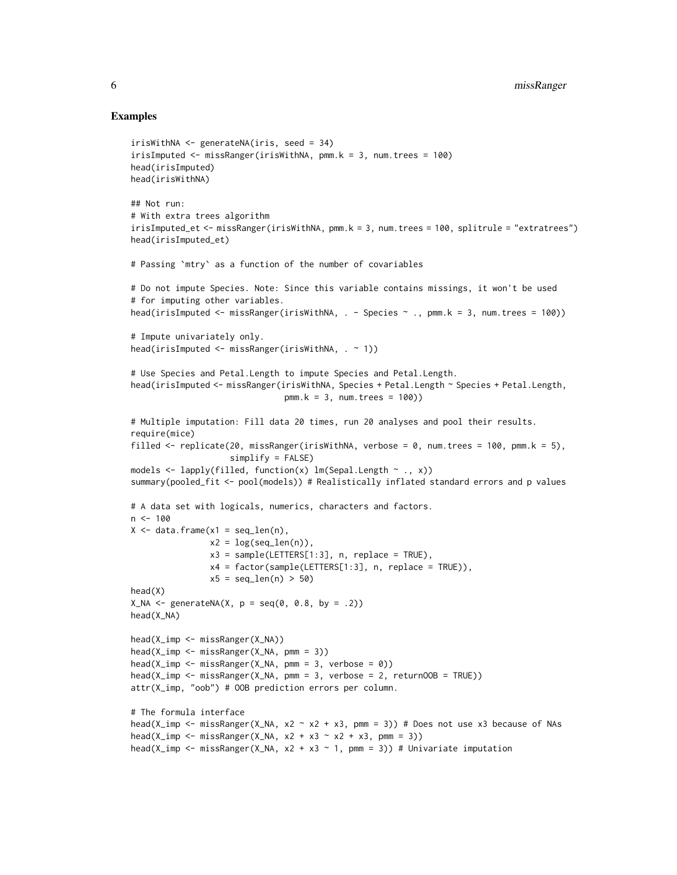#### Examples

```
irisWithNA <- generateNA(iris, seed = 34)
irisImputed <- missRanger(irisWithNA, pmm.k = 3, num.trees = 100)
head(irisImputed)
head(irisWithNA)
## Not run:
# With extra trees algorithm
irisImputed_et <- missRanger(irisWithNA, pmm.k = 3, num.trees = 100, splitrule = "extratrees")
head(irisImputed_et)
# Passing `mtry` as a function of the number of covariables
# Do not impute Species. Note: Since this variable contains missings, it won't be used
# for imputing other variables.
head(irisImputed \leq missRanger(irisWithNA, . - Species \sim ., pmm.k = 3, num.trees = 100))
# Impute univariately only.
head(irisImputed <- missRanger(irisWithNA, . ~ 1))
# Use Species and Petal.Length to impute Species and Petal.Length.
head(irisImputed <- missRanger(irisWithNA, Species + Petal.Length ~ Species + Petal.Length,
                               pmm.k = 3, num.trees = 100)# Multiple imputation: Fill data 20 times, run 20 analyses and pool their results.
require(mice)
filled \le replicate(20, missRanger(irisWithNA, verbose = 0, num.trees = 100, pmm.k = 5),
                    simplify = FALSE)
models \leq lapply(filled, function(x) lm(Sepal.Length \sim ., x))
summary(pooled_fit <- pool(models)) # Realistically inflated standard errors and p values
# A data set with logicals, numerics, characters and factors.
n < -100X \leq - data.frame(x1 = seq_len(n),
                x2 = log(seq\_len(n)),x3 = sample(LETTERS[1:3], n, replace = TRUE),x4 = factor(sample(LETTERS[1:3], n, replace = TRUE)),
                x5 = \text{seq\_len}(n) > 50head(X)
X_N = x - x + y = seq(0, 0.8, by = .2))
head(X_NA)
head(X_imp <- missRanger(X_NA))
head(X_imp <- missRanger(X_NA, pmm = 3))
head(X_iimp \leq missRanger(X_NA, pmm = 3, verbose = 0))
head(X_iimp <- missRanger(X_NA, pmm = 3, verbose = 2, returnOOB = TRUE))
attr(X_imp, "oob") # OOB prediction errors per column.
# The formula interface
head(X_imp <- missRanger(X_NA, x2 ~ x2 + x3, pmm = 3)) # Does not use x3 because of NAs
head(X_imp \leq missRanger(X_NA, x2 + x3 \sim x2 + x3, pmm = 3))
head(X_imp <- missRanger(X_NA, x2 + x3 ~ 1, pmm = 3)) # Univariate imputation
```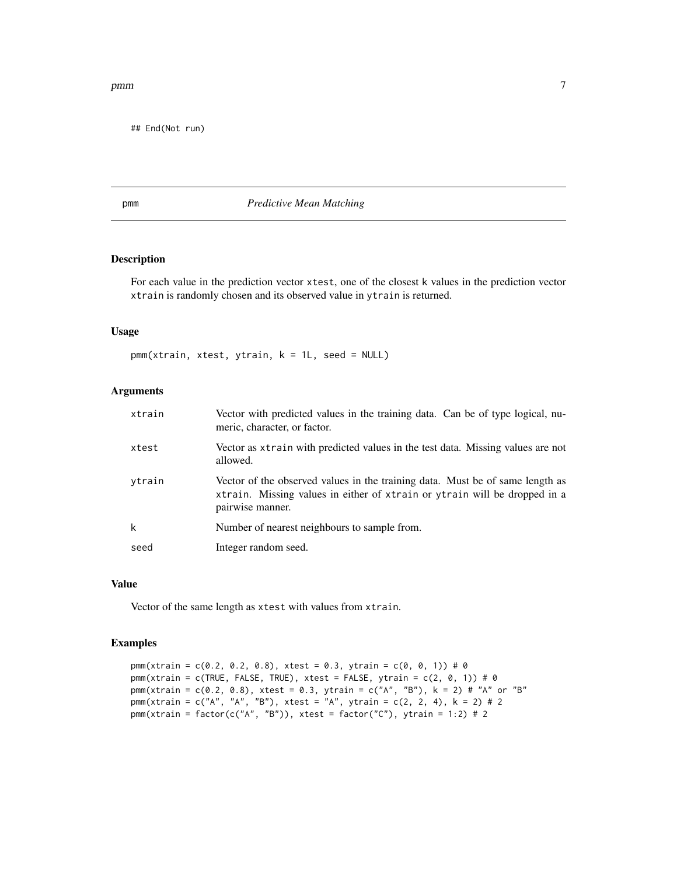<span id="page-6-0"></span>pmm 7

## End(Not run)

#### pmm *Predictive Mean Matching*

#### Description

For each value in the prediction vector xtest, one of the closest k values in the prediction vector xtrain is randomly chosen and its observed value in ytrain is returned.

#### Usage

```
pmm(xtrain, xtest, ytrain, k = 1L, seed = NULL)
```
#### Arguments

| xtrain | Vector with predicted values in the training data. Can be of type logical, nu-<br>meric, character, or factor.                                                                 |
|--------|--------------------------------------------------------------------------------------------------------------------------------------------------------------------------------|
| xtest  | Vector as xtrain with predicted values in the test data. Missing values are not<br>allowed.                                                                                    |
| ytrain | Vector of the observed values in the training data. Must be of same length as<br>xtrain. Missing values in either of xtrain or ytrain will be dropped in a<br>pairwise manner. |
| k      | Number of nearest neighbours to sample from.                                                                                                                                   |
| seed   | Integer random seed.                                                                                                                                                           |

#### Value

Vector of the same length as xtest with values from xtrain.

#### Examples

```
pmm(xtrain = c(0.2, 0.2, 0.8), xtest = 0.3, ytrain = c(0, 0, 1)) # 0
pmm(xtrain = c(TRUE, FALSE, TRUE), xtest = FALSE, ytrain = c(2, 0, 1)) # 0
pmm(xtrain = c(0.2, 0.8), xtest = 0.3, ytrain = c("A", "B"), k = 2) # "A" or "B"pmm(xtrain = c("A", "A", "B"), xtest = "A", ytrain = c(2, 2, 4), k = 2) # 2
pmm(xtrain = factor(c("A", "B")), xtest = factor("C"), ytrain = 1:2) # 2
```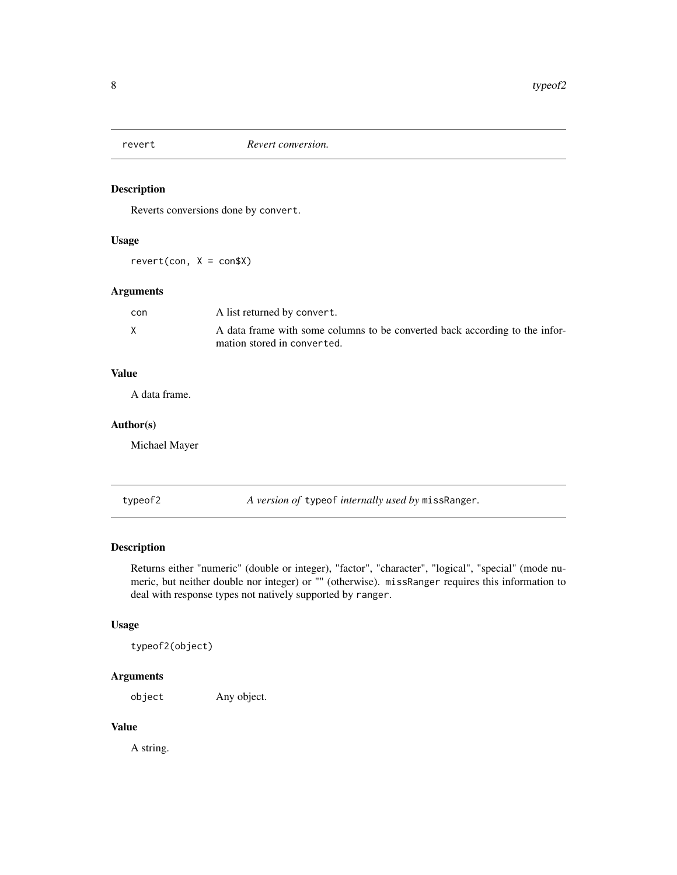<span id="page-7-0"></span>

#### Description

Reverts conversions done by convert.

#### Usage

 $revert(con, X = con $X)$ 

#### Arguments

| con | A list returned by convert.                                                                                |
|-----|------------------------------------------------------------------------------------------------------------|
|     | A data frame with some columns to be converted back according to the infor-<br>mation stored in converted. |

#### Value

A data frame.

#### Author(s)

Michael Mayer

typeof2 *A version of* typeof *internally used by* missRanger*.*

#### Description

Returns either "numeric" (double or integer), "factor", "character", "logical", "special" (mode numeric, but neither double nor integer) or "" (otherwise). missRanger requires this information to deal with response types not natively supported by ranger.

#### Usage

typeof2(object)

#### Arguments

object Any object.

#### Value

A string.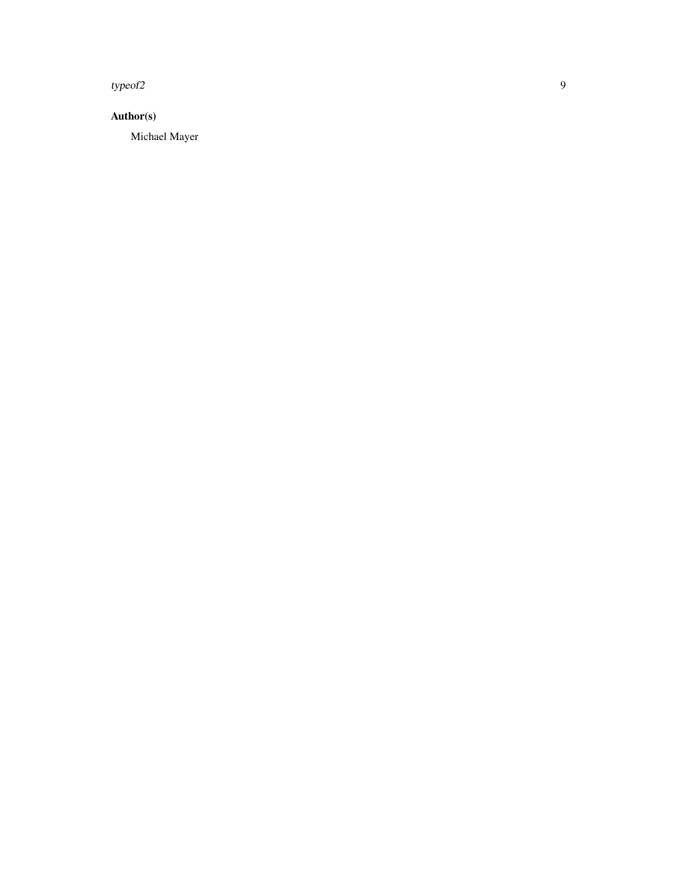typeof2

#### Author(s)

Michael Mayer